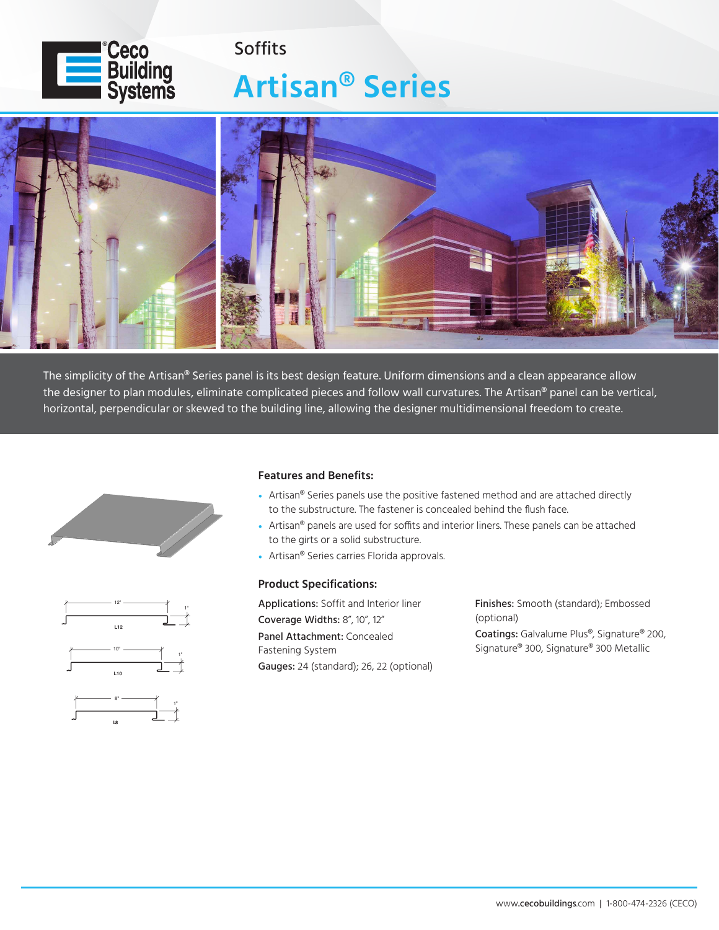

## **Artisan® Series** Soffits



The simplicity of the Artisan® Series panel is its best design feature. Uniform dimensions and a clean appearance allow the designer to plan modules, eliminate complicated pieces and follow wall curvatures. The Artisan® panel can be vertical, horizontal, perpendicular or skewed to the building line, allowing the designer multidimensional freedom to create.



1"



## **Features and Benefits:**

- Artisan<sup>®</sup> Series panels use the positive fastened method and are attached directly to the substructure. The fastener is concealed behind the flush face.
- Artisan<sup>®</sup> panels are used for soffits and interior liners. These panels can be attached to the girts or a solid substructure.
- Artisan<sup>®</sup> Series carries Florida approvals.

## **Product Specifications:**

Applications: Soffit and Interior liner Coverage Widths: 8", 10", 12" Panel Attachment: Concealed Fastening System Gauges: 24 (standard); 26, 22 (optional) Finishes: Smooth (standard); Embossed (optional) Coatings: Galvalume Plus®, Signature® 200,

Signature® 300, Signature® 300 Metallic